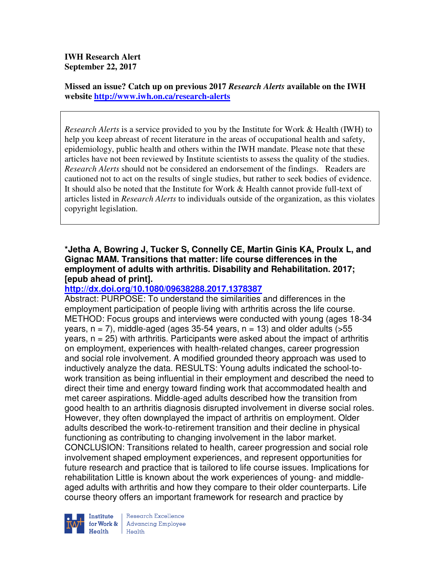**IWH Research Alert September 22, 2017** 

**Missed an issue? Catch up on previous 2017** *Research Alerts* **available on the IWH website http://www.iwh.on.ca/research-alerts**

*Research Alerts* is a service provided to you by the Institute for Work & Health (IWH) to help you keep abreast of recent literature in the areas of occupational health and safety, epidemiology, public health and others within the IWH mandate. Please note that these articles have not been reviewed by Institute scientists to assess the quality of the studies. *Research Alerts* should not be considered an endorsement of the findings. Readers are cautioned not to act on the results of single studies, but rather to seek bodies of evidence. It should also be noted that the Institute for Work & Health cannot provide full-text of articles listed in *Research Alerts* to individuals outside of the organization, as this violates copyright legislation.

### **\*Jetha A, Bowring J, Tucker S, Connelly CE, Martin Ginis KA, Proulx L, and Gignac MAM. Transitions that matter: life course differences in the employment of adults with arthritis. Disability and Rehabilitation. 2017; [epub ahead of print].**

### **http://dx.doi.org/10.1080/09638288.2017.1378387**

Abstract: PURPOSE: To understand the similarities and differences in the employment participation of people living with arthritis across the life course. METHOD: Focus groups and interviews were conducted with young (ages 18-34 years,  $n = 7$ ), middle-aged (ages 35-54 years,  $n = 13$ ) and older adults ( $>55$ )  $y$ ears,  $n = 25$ ) with arthritis. Participants were asked about the impact of arthritis on employment, experiences with health-related changes, career progression and social role involvement. A modified grounded theory approach was used to inductively analyze the data. RESULTS: Young adults indicated the school-towork transition as being influential in their employment and described the need to direct their time and energy toward finding work that accommodated health and met career aspirations. Middle-aged adults described how the transition from good health to an arthritis diagnosis disrupted involvement in diverse social roles. However, they often downplayed the impact of arthritis on employment. Older adults described the work-to-retirement transition and their decline in physical functioning as contributing to changing involvement in the labor market. CONCLUSION: Transitions related to health, career progression and social role involvement shaped employment experiences, and represent opportunities for future research and practice that is tailored to life course issues. Implications for rehabilitation Little is known about the work experiences of young- and middleaged adults with arthritis and how they compare to their older counterparts. Life course theory offers an important framework for research and practice by



Research Excellence **Advancing Employee** Health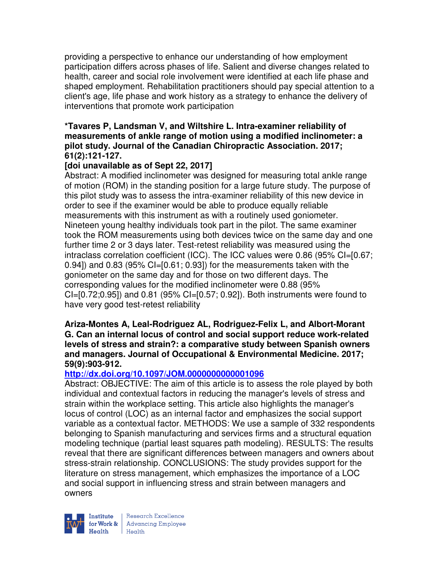providing a perspective to enhance our understanding of how employment participation differs across phases of life. Salient and diverse changes related to health, career and social role involvement were identified at each life phase and shaped employment. Rehabilitation practitioners should pay special attention to a client's age, life phase and work history as a strategy to enhance the delivery of interventions that promote work participation

### **\*Tavares P, Landsman V, and Wiltshire L. Intra-examiner reliability of measurements of ankle range of motion using a modified inclinometer: a pilot study. Journal of the Canadian Chiropractic Association. 2017; 61(2):121-127.**

## **[doi unavailable as of Sept 22, 2017]**

Abstract: A modified inclinometer was designed for measuring total ankle range of motion (ROM) in the standing position for a large future study. The purpose of this pilot study was to assess the intra-examiner reliability of this new device in order to see if the examiner would be able to produce equally reliable measurements with this instrument as with a routinely used goniometer. Nineteen young healthy individuals took part in the pilot. The same examiner took the ROM measurements using both devices twice on the same day and one further time 2 or 3 days later. Test-retest reliability was measured using the intraclass correlation coefficient (ICC). The ICC values were 0.86 (95% CI=[0.67; 0.94]) and 0.83 (95%  $CI=[0.61; 0.93]$ ) for the measurements taken with the goniometer on the same day and for those on two different days. The corresponding values for the modified inclinometer were 0.88 (95% CI=[0.72;0.95]) and 0.81 (95% CI=[0.57; 0.92]). Both instruments were found to have very good test-retest reliability

#### **Ariza-Montes A, Leal-Rodriguez AL, Rodriguez-Felix L, and Albort-Morant G. Can an internal locus of control and social support reduce work-related levels of stress and strain?: a comparative study between Spanish owners and managers. Journal of Occupational & Environmental Medicine. 2017; 59(9):903-912.**

### **http://dx.doi.org/10.1097/JOM.0000000000001096**

Abstract: OBJECTIVE: The aim of this article is to assess the role played by both individual and contextual factors in reducing the manager's levels of stress and strain within the workplace setting. This article also highlights the manager's locus of control (LOC) as an internal factor and emphasizes the social support variable as a contextual factor. METHODS: We use a sample of 332 respondents belonging to Spanish manufacturing and services firms and a structural equation modeling technique (partial least squares path modeling). RESULTS: The results reveal that there are significant differences between managers and owners about stress-strain relationship. CONCLUSIONS: The study provides support for the literature on stress management, which emphasizes the importance of a LOC and social support in influencing stress and strain between managers and owners



| Research Excellence Financial Research Excellence<br>
Financial Realth<br>
Realth<br>
Realth<br>
Realth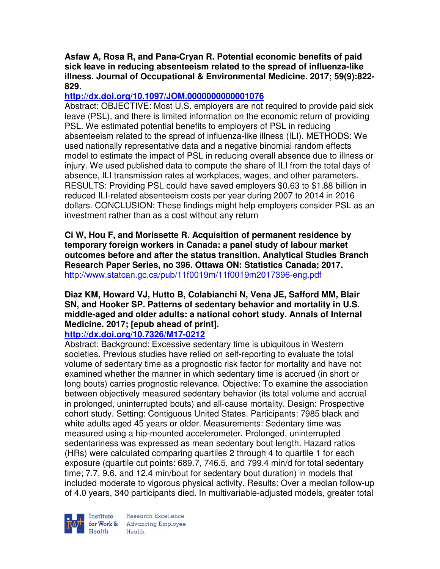### **Asfaw A, Rosa R, and Pana-Cryan R. Potential economic benefits of paid sick leave in reducing absenteeism related to the spread of influenza-like illness. Journal of Occupational & Environmental Medicine. 2017; 59(9):822- 829.**

# **http://dx.doi.org/10.1097/JOM.0000000000001076**

Abstract: OBJECTIVE: Most U.S. employers are not required to provide paid sick leave (PSL), and there is limited information on the economic return of providing PSL. We estimated potential benefits to employers of PSL in reducing absenteeism related to the spread of influenza-like illness (ILI). METHODS: We used nationally representative data and a negative binomial random effects model to estimate the impact of PSL in reducing overall absence due to illness or injury. We used published data to compute the share of ILI from the total days of absence, ILI transmission rates at workplaces, wages, and other parameters. RESULTS: Providing PSL could have saved employers \$0.63 to \$1.88 billion in reduced ILI-related absenteeism costs per year during 2007 to 2014 in 2016 dollars. CONCLUSION: These findings might help employers consider PSL as an investment rather than as a cost without any return

**Ci W, Hou F, and Morissette R. Acquisition of permanent residence by temporary foreign workers in Canada: a panel study of labour market outcomes before and after the status transition. Analytical Studies Branch Research Paper Series, no 396. Ottawa ON: Statistics Canada; 2017.**  http://www.statcan.gc.ca/pub/11f0019m/11f0019m2017396-eng.pdf

# **Diaz KM, Howard VJ, Hutto B, Colabianchi N, Vena JE, Safford MM, Blair SN, and Hooker SP. Patterns of sedentary behavior and mortality in U.S. middle-aged and older adults: a national cohort study. Annals of Internal Medicine. 2017; [epub ahead of print].**

**http://dx.doi.org/10.7326/M17-0212**  Abstract: Background: Excessive sedentary time is ubiquitous in Western societies. Previous studies have relied on self-reporting to evaluate the total volume of sedentary time as a prognostic risk factor for mortality and have not examined whether the manner in which sedentary time is accrued (in short or long bouts) carries prognostic relevance. Objective: To examine the association between objectively measured sedentary behavior (its total volume and accrual in prolonged, uninterrupted bouts) and all-cause mortality. Design: Prospective cohort study. Setting: Contiguous United States. Participants: 7985 black and white adults aged 45 years or older. Measurements: Sedentary time was measured using a hip-mounted accelerometer. Prolonged, uninterrupted sedentariness was expressed as mean sedentary bout length. Hazard ratios (HRs) were calculated comparing quartiles 2 through 4 to quartile 1 for each exposure (quartile cut points: 689.7, 746.5, and 799.4 min/d for total sedentary time; 7.7, 9.6, and 12.4 min/bout for sedentary bout duration) in models that included moderate to vigorous physical activity. Results: Over a median follow-up of 4.0 years, 340 participants died. In multivariable-adjusted models, greater total



Research Excellence for Work & | Advancing Employee Health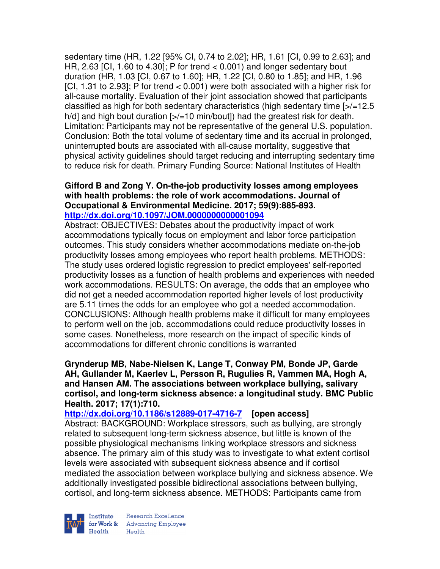sedentary time (HR, 1.22 [95% CI, 0.74 to 2.02]; HR, 1.61 [CI, 0.99 to 2.63]; and HR, 2.63 [CI, 1.60 to 4.30]; P for trend  $<$  0.001) and longer sedentary bout duration (HR, 1.03 [CI, 0.67 to 1.60]; HR, 1.22 [CI, 0.80 to 1.85]; and HR, 1.96 [CI, 1.31 to 2.93]; P for trend < 0.001) were both associated with a higher risk for all-cause mortality. Evaluation of their joint association showed that participants classified as high for both sedentary characteristics (high sedentary time [>/=12.5 h/d] and high bout duration [>/=10 min/bout]) had the greatest risk for death. Limitation: Participants may not be representative of the general U.S. population. Conclusion: Both the total volume of sedentary time and its accrual in prolonged, uninterrupted bouts are associated with all-cause mortality, suggestive that physical activity guidelines should target reducing and interrupting sedentary time to reduce risk for death. Primary Funding Source: National Institutes of Health

#### **Gifford B and Zong Y. On-the-job productivity losses among employees with health problems: the role of work accommodations. Journal of Occupational & Environmental Medicine. 2017; 59(9):885-893. http://dx.doi.org/10.1097/JOM.0000000000001094**

Abstract: OBJECTIVES: Debates about the productivity impact of work accommodations typically focus on employment and labor force participation outcomes. This study considers whether accommodations mediate on-the-job productivity losses among employees who report health problems. METHODS: The study uses ordered logistic regression to predict employees' self-reported productivity losses as a function of health problems and experiences with needed work accommodations. RESULTS: On average, the odds that an employee who did not get a needed accommodation reported higher levels of lost productivity are 5.11 times the odds for an employee who got a needed accommodation. CONCLUSIONS: Although health problems make it difficult for many employees to perform well on the job, accommodations could reduce productivity losses in some cases. Nonetheless, more research on the impact of specific kinds of accommodations for different chronic conditions is warranted

**Grynderup MB, Nabe-Nielsen K, Lange T, Conway PM, Bonde JP, Garde AH, Gullander M, Kaerlev L, Persson R, Rugulies R, Vammen MA, Hogh A, and Hansen AM. The associations between workplace bullying, salivary cortisol, and long-term sickness absence: a longitudinal study. BMC Public Health. 2017; 17(1):710.** 

**http://dx.doi.org/10.1186/s12889-017-4716-7 [open access]** Abstract: BACKGROUND: Workplace stressors, such as bullying, are strongly related to subsequent long-term sickness absence, but little is known of the possible physiological mechanisms linking workplace stressors and sickness absence. The primary aim of this study was to investigate to what extent cortisol levels were associated with subsequent sickness absence and if cortisol mediated the association between workplace bullying and sickness absence. We additionally investigated possible bidirectional associations between bullying, cortisol, and long-term sickness absence. METHODS: Participants came from



Research Excellence for Work & | Advancing Employee Health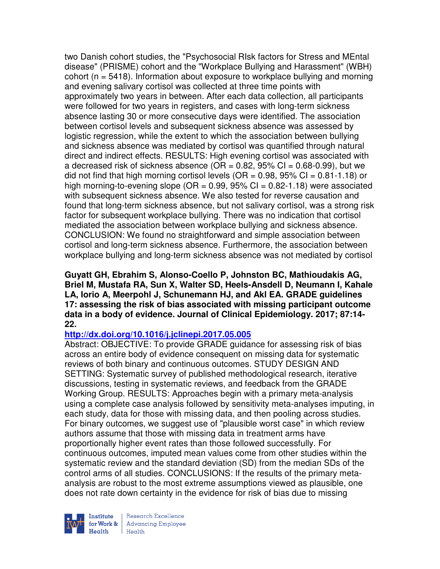two Danish cohort studies, the "Psychosocial RIsk factors for Stress and MEntal disease" (PRISME) cohort and the "Workplace Bullying and Harassment" (WBH) cohort ( $n = 5418$ ). Information about exposure to workplace bullying and morning and evening salivary cortisol was collected at three time points with approximately two years in between. After each data collection, all participants were followed for two years in registers, and cases with long-term sickness absence lasting 30 or more consecutive days were identified. The association between cortisol levels and subsequent sickness absence was assessed by logistic regression, while the extent to which the association between bullying and sickness absence was mediated by cortisol was quantified through natural direct and indirect effects. RESULTS: High evening cortisol was associated with a decreased risk of sickness absence (OR =  $0.82$ , 95% CI =  $0.68-0.99$ ), but we did not find that high morning cortisol levels ( $OR = 0.98$ ,  $95\%$  CI = 0.81-1.18) or high morning-to-evening slope ( $OR = 0.99$ ,  $95\%$  CI = 0.82-1.18) were associated with subsequent sickness absence. We also tested for reverse causation and found that long-term sickness absence, but not salivary cortisol, was a strong risk factor for subsequent workplace bullying. There was no indication that cortisol mediated the association between workplace bullying and sickness absence. CONCLUSION: We found no straightforward and simple association between cortisol and long-term sickness absence. Furthermore, the association between workplace bullying and long-term sickness absence was not mediated by cortisol

**Guyatt GH, Ebrahim S, Alonso-Coello P, Johnston BC, Mathioudakis AG, Briel M, Mustafa RA, Sun X, Walter SD, Heels-Ansdell D, Neumann I, Kahale LA, Iorio A, Meerpohl J, Schunemann HJ, and Akl EA. GRADE guidelines 17: assessing the risk of bias associated with missing participant outcome data in a body of evidence. Journal of Clinical Epidemiology. 2017; 87:14- 22.** 

### **http://dx.doi.org/10.1016/j.jclinepi.2017.05.005**

Abstract: OBJECTIVE: To provide GRADE guidance for assessing risk of bias across an entire body of evidence consequent on missing data for systematic reviews of both binary and continuous outcomes. STUDY DESIGN AND SETTING: Systematic survey of published methodological research, iterative discussions, testing in systematic reviews, and feedback from the GRADE Working Group. RESULTS: Approaches begin with a primary meta-analysis using a complete case analysis followed by sensitivity meta-analyses imputing, in each study, data for those with missing data, and then pooling across studies. For binary outcomes, we suggest use of "plausible worst case" in which review authors assume that those with missing data in treatment arms have proportionally higher event rates than those followed successfully. For continuous outcomes, imputed mean values come from other studies within the systematic review and the standard deviation (SD) from the median SDs of the control arms of all studies. CONCLUSIONS: If the results of the primary metaanalysis are robust to the most extreme assumptions viewed as plausible, one does not rate down certainty in the evidence for risk of bias due to missing



Research Excellence **Advancing Employee**  $H_{\text{each}}$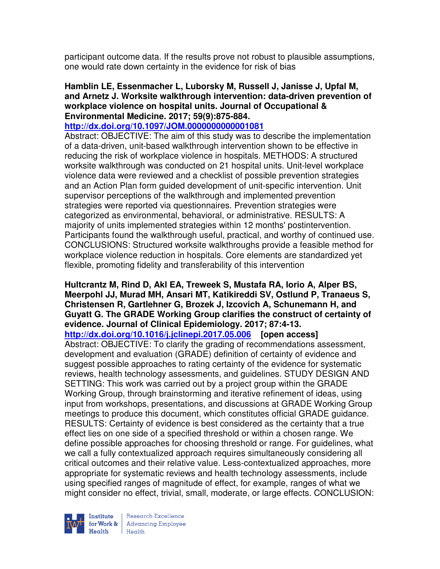participant outcome data. If the results prove not robust to plausible assumptions, one would rate down certainty in the evidence for risk of bias

#### **Hamblin LE, Essenmacher L, Luborsky M, Russell J, Janisse J, Upfal M, and Arnetz J. Worksite walkthrough intervention: data-driven prevention of workplace violence on hospital units. Journal of Occupational & Environmental Medicine. 2017; 59(9):875-884.**

#### **http://dx.doi.org/10.1097/JOM.0000000000001081**

Abstract: OBJECTIVE: The aim of this study was to describe the implementation of a data-driven, unit-based walkthrough intervention shown to be effective in reducing the risk of workplace violence in hospitals. METHODS: A structured worksite walkthrough was conducted on 21 hospital units. Unit-level workplace violence data were reviewed and a checklist of possible prevention strategies and an Action Plan form guided development of unit-specific intervention. Unit supervisor perceptions of the walkthrough and implemented prevention strategies were reported via questionnaires. Prevention strategies were categorized as environmental, behavioral, or administrative. RESULTS: A majority of units implemented strategies within 12 months' postintervention. Participants found the walkthrough useful, practical, and worthy of continued use. CONCLUSIONS: Structured worksite walkthroughs provide a feasible method for workplace violence reduction in hospitals. Core elements are standardized yet flexible, promoting fidelity and transferability of this intervention

**Hultcrantz M, Rind D, Akl EA, Treweek S, Mustafa RA, Iorio A, Alper BS, Meerpohl JJ, Murad MH, Ansari MT, Katikireddi SV, Ostlund P, Tranaeus S, Christensen R, Gartlehner G, Brozek J, Izcovich A, Schunemann H, and Guyatt G. The GRADE Working Group clarifies the construct of certainty of evidence. Journal of Clinical Epidemiology. 2017; 87:4-13. http://dx.doi.org/10.1016/j.jclinepi.2017.05.006 [open access]** Abstract: OBJECTIVE: To clarify the grading of recommendations assessment, development and evaluation (GRADE) definition of certainty of evidence and suggest possible approaches to rating certainty of the evidence for systematic reviews, health technology assessments, and guidelines. STUDY DESIGN AND SETTING: This work was carried out by a project group within the GRADE Working Group, through brainstorming and iterative refinement of ideas, using input from workshops, presentations, and discussions at GRADE Working Group meetings to produce this document, which constitutes official GRADE guidance. RESULTS: Certainty of evidence is best considered as the certainty that a true effect lies on one side of a specified threshold or within a chosen range. We define possible approaches for choosing threshold or range. For guidelines, what we call a fully contextualized approach requires simultaneously considering all critical outcomes and their relative value. Less-contextualized approaches, more appropriate for systematic reviews and health technology assessments, include using specified ranges of magnitude of effect, for example, ranges of what we might consider no effect, trivial, small, moderate, or large effects. CONCLUSION:



Research Excellence Institute Research Excellence<br>
for Work & Advancing Employee<br>
Health Health Health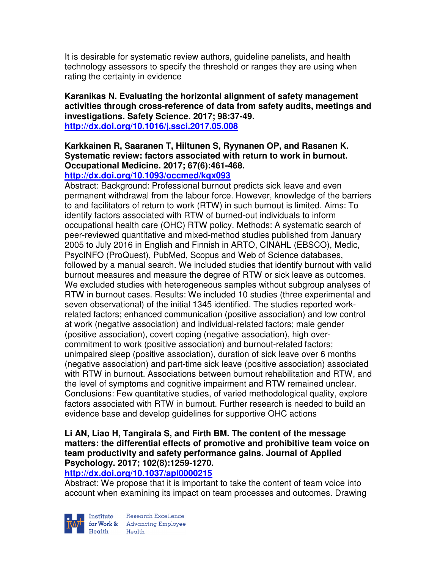It is desirable for systematic review authors, guideline panelists, and health technology assessors to specify the threshold or ranges they are using when rating the certainty in evidence

### **Karanikas N. Evaluating the horizontal alignment of safety management activities through cross-reference of data from safety audits, meetings and investigations. Safety Science. 2017; 98:37-49. http://dx.doi.org/10.1016/j.ssci.2017.05.008**

# **Karkkainen R, Saaranen T, Hiltunen S, Ryynanen OP, and Rasanen K. Systematic review: factors associated with return to work in burnout. Occupational Medicine. 2017; 67(6):461-468.**

**http://dx.doi.org/10.1093/occmed/kqx093** 

Abstract: Background: Professional burnout predicts sick leave and even permanent withdrawal from the labour force. However, knowledge of the barriers to and facilitators of return to work (RTW) in such burnout is limited. Aims: To identify factors associated with RTW of burned-out individuals to inform occupational health care (OHC) RTW policy. Methods: A systematic search of peer-reviewed quantitative and mixed-method studies published from January 2005 to July 2016 in English and Finnish in ARTO, CINAHL (EBSCO), Medic, PsycINFO (ProQuest), PubMed, Scopus and Web of Science databases, followed by a manual search. We included studies that identify burnout with valid burnout measures and measure the degree of RTW or sick leave as outcomes. We excluded studies with heterogeneous samples without subgroup analyses of RTW in burnout cases. Results: We included 10 studies (three experimental and seven observational) of the initial 1345 identified. The studies reported workrelated factors; enhanced communication (positive association) and low control at work (negative association) and individual-related factors; male gender (positive association), covert coping (negative association), high overcommitment to work (positive association) and burnout-related factors; unimpaired sleep (positive association), duration of sick leave over 6 months (negative association) and part-time sick leave (positive association) associated with RTW in burnout. Associations between burnout rehabilitation and RTW, and the level of symptoms and cognitive impairment and RTW remained unclear. Conclusions: Few quantitative studies, of varied methodological quality, explore factors associated with RTW in burnout. Further research is needed to build an evidence base and develop guidelines for supportive OHC actions

### **Li AN, Liao H, Tangirala S, and Firth BM. The content of the message matters: the differential effects of promotive and prohibitive team voice on team productivity and safety performance gains. Journal of Applied Psychology. 2017; 102(8):1259-1270.**

### **http://dx.doi.org/10.1037/apl0000215**

Abstract: We propose that it is important to take the content of team voice into account when examining its impact on team processes and outcomes. Drawing



Institute Research Excellence<br>
for Work & Advancing Employee<br>
Health Health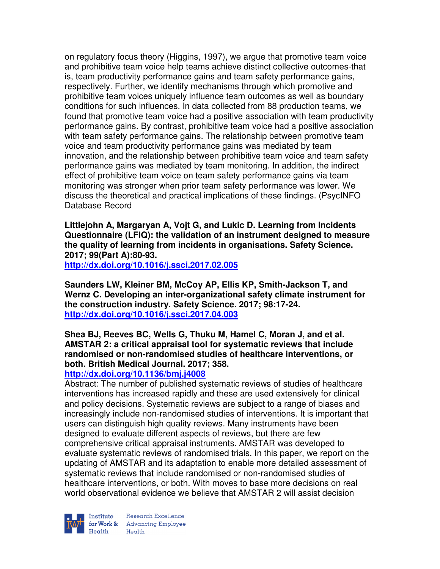on regulatory focus theory (Higgins, 1997), we argue that promotive team voice and prohibitive team voice help teams achieve distinct collective outcomes-that is, team productivity performance gains and team safety performance gains, respectively. Further, we identify mechanisms through which promotive and prohibitive team voices uniquely influence team outcomes as well as boundary conditions for such influences. In data collected from 88 production teams, we found that promotive team voice had a positive association with team productivity performance gains. By contrast, prohibitive team voice had a positive association with team safety performance gains. The relationship between promotive team voice and team productivity performance gains was mediated by team innovation, and the relationship between prohibitive team voice and team safety performance gains was mediated by team monitoring. In addition, the indirect effect of prohibitive team voice on team safety performance gains via team monitoring was stronger when prior team safety performance was lower. We discuss the theoretical and practical implications of these findings. (PsycINFO Database Record

**Littlejohn A, Margaryan A, Vojt G, and Lukic D. Learning from Incidents Questionnaire (LFIQ): the validation of an instrument designed to measure the quality of learning from incidents in organisations. Safety Science. 2017; 99(Part A):80-93.** 

**http://dx.doi.org/10.1016/j.ssci.2017.02.005** 

**Saunders LW, Kleiner BM, McCoy AP, Ellis KP, Smith-Jackson T, and Wernz C. Developing an inter-organizational safety climate instrument for the construction industry. Safety Science. 2017; 98:17-24. http://dx.doi.org/10.1016/j.ssci.2017.04.003** 

**Shea BJ, Reeves BC, Wells G, Thuku M, Hamel C, Moran J, and et al. AMSTAR 2: a critical appraisal tool for systematic reviews that include randomised or non-randomised studies of healthcare interventions, or both. British Medical Journal. 2017; 358.** 

### **http://dx.doi.org/10.1136/bmj.j4008**

Abstract: The number of published systematic reviews of studies of healthcare interventions has increased rapidly and these are used extensively for clinical and policy decisions. Systematic reviews are subject to a range of biases and increasingly include non-randomised studies of interventions. It is important that users can distinguish high quality reviews. Many instruments have been designed to evaluate different aspects of reviews, but there are few comprehensive critical appraisal instruments. AMSTAR was developed to evaluate systematic reviews of randomised trials. In this paper, we report on the updating of AMSTAR and its adaptation to enable more detailed assessment of systematic reviews that include randomised or non-randomised studies of healthcare interventions, or both. With moves to base more decisions on real world observational evidence we believe that AMSTAR 2 will assist decision



Research Excellence Institute<br>
for Work & Advancing Employee<br>
Health Health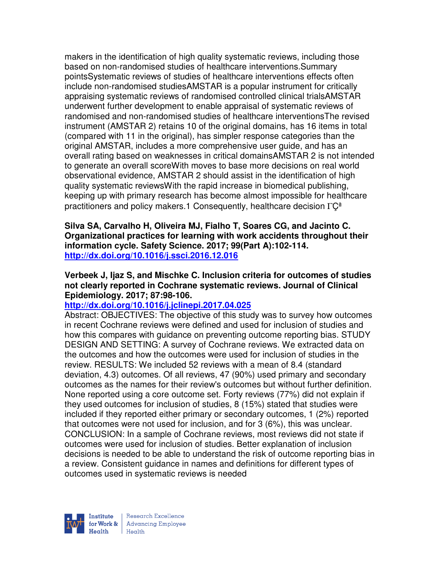makers in the identification of high quality systematic reviews, including those based on non-randomised studies of healthcare interventions.Summary pointsSystematic reviews of studies of healthcare interventions effects often include non-randomised studiesAMSTAR is a popular instrument for critically appraising systematic reviews of randomised controlled clinical trialsAMSTAR underwent further development to enable appraisal of systematic reviews of randomised and non-randomised studies of healthcare interventionsThe revised instrument (AMSTAR 2) retains 10 of the original domains, has 16 items in total (compared with 11 in the original), has simpler response categories than the original AMSTAR, includes a more comprehensive user guide, and has an overall rating based on weaknesses in critical domainsAMSTAR 2 is not intended to generate an overall scoreWith moves to base more decisions on real world observational evidence, AMSTAR 2 should assist in the identification of high quality systematic reviewsWith the rapid increase in biomedical publishing, keeping up with primary research has become almost impossible for healthcare practitioners and policy makers.1 Consequently, healthcare decision  $\Gamma\text{C}^{\text{a}}$ 

**Silva SA, Carvalho H, Oliveira MJ, Fialho T, Soares CG, and Jacinto C. Organizational practices for learning with work accidents throughout their information cycle. Safety Science. 2017; 99(Part A):102-114. http://dx.doi.org/10.1016/j.ssci.2016.12.016** 

**Verbeek J, Ijaz S, and Mischke C. Inclusion criteria for outcomes of studies not clearly reported in Cochrane systematic reviews. Journal of Clinical Epidemiology. 2017; 87:98-106.** 

### **http://dx.doi.org/10.1016/j.jclinepi.2017.04.025**

Abstract: OBJECTIVES: The objective of this study was to survey how outcomes in recent Cochrane reviews were defined and used for inclusion of studies and how this compares with guidance on preventing outcome reporting bias. STUDY DESIGN AND SETTING: A survey of Cochrane reviews. We extracted data on the outcomes and how the outcomes were used for inclusion of studies in the review. RESULTS: We included 52 reviews with a mean of 8.4 (standard deviation, 4.3) outcomes. Of all reviews, 47 (90%) used primary and secondary outcomes as the names for their review's outcomes but without further definition. None reported using a core outcome set. Forty reviews (77%) did not explain if they used outcomes for inclusion of studies, 8 (15%) stated that studies were included if they reported either primary or secondary outcomes, 1 (2%) reported that outcomes were not used for inclusion, and for 3 (6%), this was unclear. CONCLUSION: In a sample of Cochrane reviews, most reviews did not state if outcomes were used for inclusion of studies. Better explanation of inclusion decisions is needed to be able to understand the risk of outcome reporting bias in a review. Consistent guidance in names and definitions for different types of outcomes used in systematic reviews is needed



| Research Excellence for Work & Advancing Employee<br>Health Health